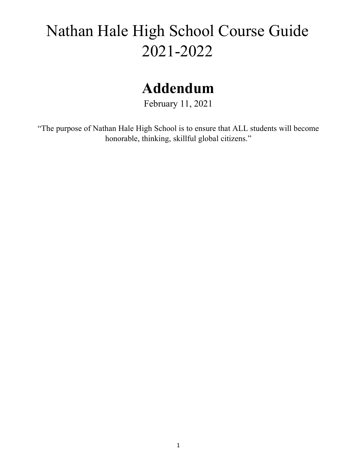# Nathan Hale High School Course Guide 2021-2022

## **Addendum**

February 11, 2021

"The purpose of Nathan Hale High School is to ensure that ALL students will become honorable, thinking, skillful global citizens."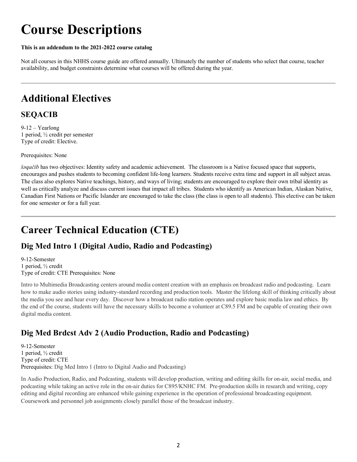## **Course Descriptions**

#### **This is an addendum to the 2021-2022 course catalog**

Not all courses in this NHHS course guide are offered annually. Ultimately the number of students who select that course, teacher availability, and budget constraints determine what courses will be offered during the year.

### **Additional Electives**

### **SEQACIB**

9-12 – Yearlong 1 period, ½ credit per semester Type of credit: Elective.

Prerequisites: None

*šəqačib* has two objectives: Identity safety and academic achievement. The classroom is a Native focused space that supports, encourages and pushes students to becoming confident life-long learners. Students receive extra time and support in all subject areas. The class also explores Native teachings, history, and ways of living; students are encouraged to explore their own tribal identity as well as critically analyze and discuss current issues that impact all tribes. Students who identify as American Indian, Alaskan Native, Canadian First Nations or Pacific Islander are encouraged to take the class (the class is open to all students). This elective can be taken for one semester or for a full year.

## **Career Technical Education (CTE)**

### **Dig Med Intro 1 (Digital Audio, Radio and Podcasting)**

9-12-Semester 1 period, ½ credit Type of credit: CTE Prerequisites: None

Intro to Multimedia Broadcasting centers around media content creation with an emphasis on broadcast radio and podcasting. Learn how to make audio stories using industry-standard recording and production tools. Master the lifelong skill of thinking critically about the media you see and hear every day. Discover how a broadcast radio station operates and explore basic media law and ethics. By the end of the course, students will have the necessary skills to become a volunteer at C89.5 FM and be capable of creating their own digital media content.

### **Dig Med Brdcst Adv 2 (Audio Production, Radio and Podcasting)**

9-12-Semester 1 period, ½ credit Type of credit: CTE Prerequisites: Dig Med Intro 1 (Intro to Digital Audio and Podcasting)

In Audio Production, Radio, and Podcasting, students will develop production, writing and editing skills for on-air, social media, and podcasting while taking an active role in the on-air duties for C895/KNHC FM. Pre-production skills in research and writing, copy editing and digital recording are enhanced while gaining experience in the operation of professional broadcasting equipment. Coursework and personnel job assignments closely parallel those of the broadcast industry.